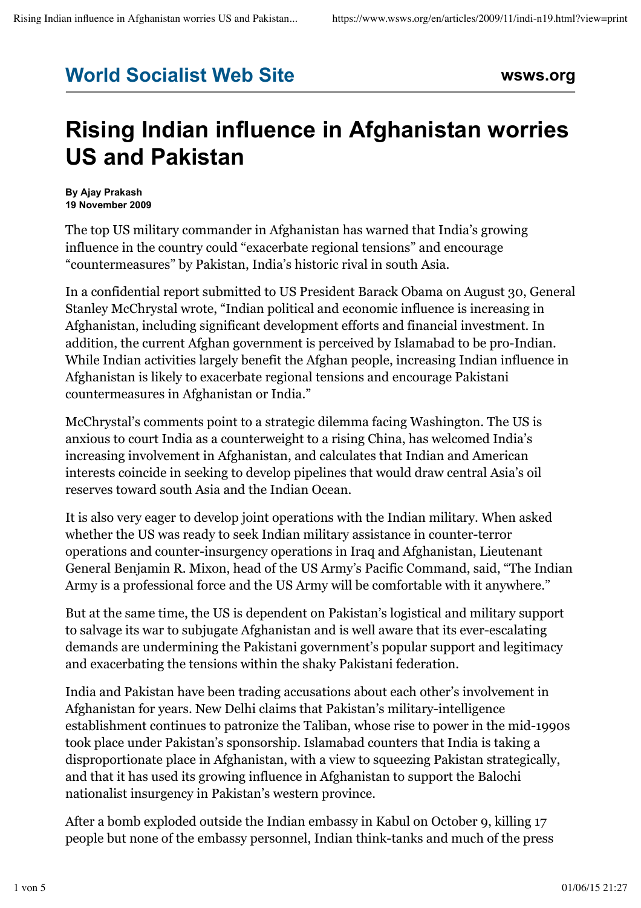## **World Socialist Web Site wsws.org**

## **Rising Indian influence in Afghanistan worries US and Pakistan**

**By Ajay Prakash 19 November 2009**

The top US military commander in Afghanistan has warned that India's growing influence in the country could "exacerbate regional tensions" and encourage "countermeasures" by Pakistan, India's historic rival in south Asia.

In a confidential report submitted to US President Barack Obama on August 30, General Stanley McChrystal wrote, "Indian political and economic influence is increasing in Afghanistan, including significant development efforts and financial investment. In addition, the current Afghan government is perceived by Islamabad to be pro-Indian. While Indian activities largely benefit the Afghan people, increasing Indian influence in Afghanistan is likely to exacerbate regional tensions and encourage Pakistani countermeasures in Afghanistan or India."

McChrystal's comments point to a strategic dilemma facing Washington. The US is anxious to court India as a counterweight to a rising China, has welcomed India's increasing involvement in Afghanistan, and calculates that Indian and American interests coincide in seeking to develop pipelines that would draw central Asia's oil reserves toward south Asia and the Indian Ocean.

It is also very eager to develop joint operations with the Indian military. When asked whether the US was ready to seek Indian military assistance in counter-terror operations and counter-insurgency operations in Iraq and Afghanistan, Lieutenant General Benjamin R. Mixon, head of the US Army's Pacific Command, said, "The Indian Army is a professional force and the US Army will be comfortable with it anywhere."

But at the same time, the US is dependent on Pakistan's logistical and military support to salvage its war to subjugate Afghanistan and is well aware that its ever-escalating demands are undermining the Pakistani government's popular support and legitimacy and exacerbating the tensions within the shaky Pakistani federation.

India and Pakistan have been trading accusations about each other's involvement in Afghanistan for years. New Delhi claims that Pakistan's military-intelligence establishment continues to patronize the Taliban, whose rise to power in the mid-1990s took place under Pakistan's sponsorship. Islamabad counters that India is taking a disproportionate place in Afghanistan, with a view to squeezing Pakistan strategically, and that it has used its growing influence in Afghanistan to support the Balochi nationalist insurgency in Pakistan's western province.

After a bomb exploded outside the Indian embassy in Kabul on October 9, killing 17 people but none of the embassy personnel, Indian think-tanks and much of the press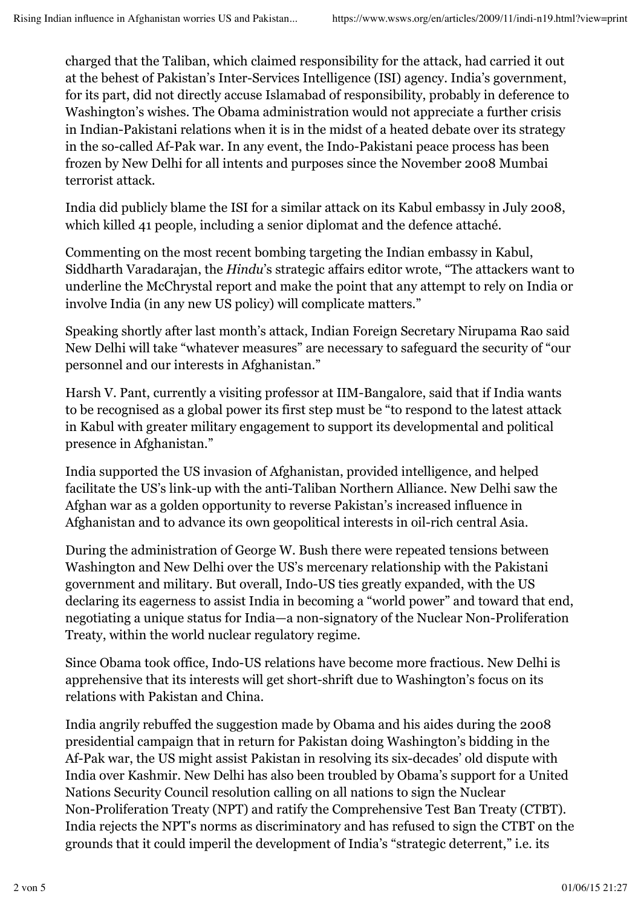charged that the Taliban, which claimed responsibility for the attack, had carried it out at the behest of Pakistan's Inter-Services Intelligence (ISI) agency. India's government, for its part, did not directly accuse Islamabad of responsibility, probably in deference to Washington's wishes. The Obama administration would not appreciate a further crisis in Indian-Pakistani relations when it is in the midst of a heated debate over its strategy in the so-called Af-Pak war. In any event, the Indo-Pakistani peace process has been frozen by New Delhi for all intents and purposes since the November 2008 Mumbai terrorist attack.

India did publicly blame the ISI for a similar attack on its Kabul embassy in July 2008, which killed 41 people, including a senior diplomat and the defence attaché.

Commenting on the most recent bombing targeting the Indian embassy in Kabul, Siddharth Varadarajan, the *Hindu*'s strategic affairs editor wrote, "The attackers want to underline the McChrystal report and make the point that any attempt to rely on India or involve India (in any new US policy) will complicate matters."

Speaking shortly after last month's attack, Indian Foreign Secretary Nirupama Rao said New Delhi will take "whatever measures" are necessary to safeguard the security of "our personnel and our interests in Afghanistan."

Harsh V. Pant, currently a visiting professor at IIM-Bangalore, said that if India wants to be recognised as a global power its first step must be "to respond to the latest attack in Kabul with greater military engagement to support its developmental and political presence in Afghanistan."

India supported the US invasion of Afghanistan, provided intelligence, and helped facilitate the US's link-up with the anti-Taliban Northern Alliance. New Delhi saw the Afghan war as a golden opportunity to reverse Pakistan's increased influence in Afghanistan and to advance its own geopolitical interests in oil-rich central Asia.

During the administration of George W. Bush there were repeated tensions between Washington and New Delhi over the US's mercenary relationship with the Pakistani government and military. But overall, Indo-US ties greatly expanded, with the US declaring its eagerness to assist India in becoming a "world power" and toward that end, negotiating a unique status for India—a non-signatory of the Nuclear Non-Proliferation Treaty, within the world nuclear regulatory regime.

Since Obama took office, Indo-US relations have become more fractious. New Delhi is apprehensive that its interests will get short-shrift due to Washington's focus on its relations with Pakistan and China.

India angrily rebuffed the suggestion made by Obama and his aides during the 2008 presidential campaign that in return for Pakistan doing Washington's bidding in the Af-Pak war, the US might assist Pakistan in resolving its six-decades' old dispute with India over Kashmir. New Delhi has also been troubled by Obama's support for a United Nations Security Council resolution calling on all nations to sign the Nuclear Non-Proliferation Treaty (NPT) and ratify the Comprehensive Test Ban Treaty (CTBT). India rejects the NPT's norms as discriminatory and has refused to sign the CTBT on the grounds that it could imperil the development of India's "strategic deterrent," i.e. its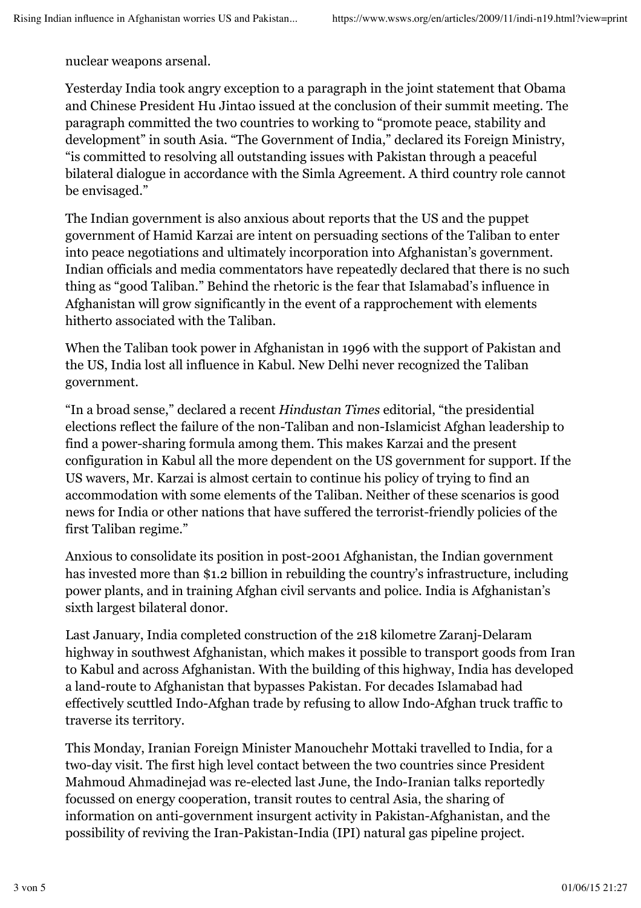nuclear weapons arsenal.

Yesterday India took angry exception to a paragraph in the joint statement that Obama and Chinese President Hu Jintao issued at the conclusion of their summit meeting. The paragraph committed the two countries to working to "promote peace, stability and development" in south Asia. "The Government of India," declared its Foreign Ministry, "is committed to resolving all outstanding issues with Pakistan through a peaceful bilateral dialogue in accordance with the Simla Agreement. A third country role cannot be envisaged."

The Indian government is also anxious about reports that the US and the puppet government of Hamid Karzai are intent on persuading sections of the Taliban to enter into peace negotiations and ultimately incorporation into Afghanistan's government. Indian officials and media commentators have repeatedly declared that there is no such thing as "good Taliban." Behind the rhetoric is the fear that Islamabad's influence in Afghanistan will grow significantly in the event of a rapprochement with elements hitherto associated with the Taliban.

When the Taliban took power in Afghanistan in 1996 with the support of Pakistan and the US, India lost all influence in Kabul. New Delhi never recognized the Taliban government.

"In a broad sense," declared a recent *Hindustan Times* editorial, "the presidential elections reflect the failure of the non-Taliban and non-Islamicist Afghan leadership to find a power-sharing formula among them. This makes Karzai and the present configuration in Kabul all the more dependent on the US government for support. If the US wavers, Mr. Karzai is almost certain to continue his policy of trying to find an accommodation with some elements of the Taliban. Neither of these scenarios is good news for India or other nations that have suffered the terrorist-friendly policies of the first Taliban regime."

Anxious to consolidate its position in post-2001 Afghanistan, the Indian government has invested more than \$1.2 billion in rebuilding the country's infrastructure, including power plants, and in training Afghan civil servants and police. India is Afghanistan's sixth largest bilateral donor.

Last January, India completed construction of the 218 kilometre Zaranj-Delaram highway in southwest Afghanistan, which makes it possible to transport goods from Iran to Kabul and across Afghanistan. With the building of this highway, India has developed a land-route to Afghanistan that bypasses Pakistan. For decades Islamabad had effectively scuttled Indo-Afghan trade by refusing to allow Indo-Afghan truck traffic to traverse its territory.

This Monday, Iranian Foreign Minister Manouchehr Mottaki travelled to India, for a two-day visit. The first high level contact between the two countries since President Mahmoud Ahmadinejad was re-elected last June, the Indo-Iranian talks reportedly focussed on energy cooperation, transit routes to central Asia, the sharing of information on anti-government insurgent activity in Pakistan-Afghanistan, and the possibility of reviving the Iran-Pakistan-India (IPI) natural gas pipeline project.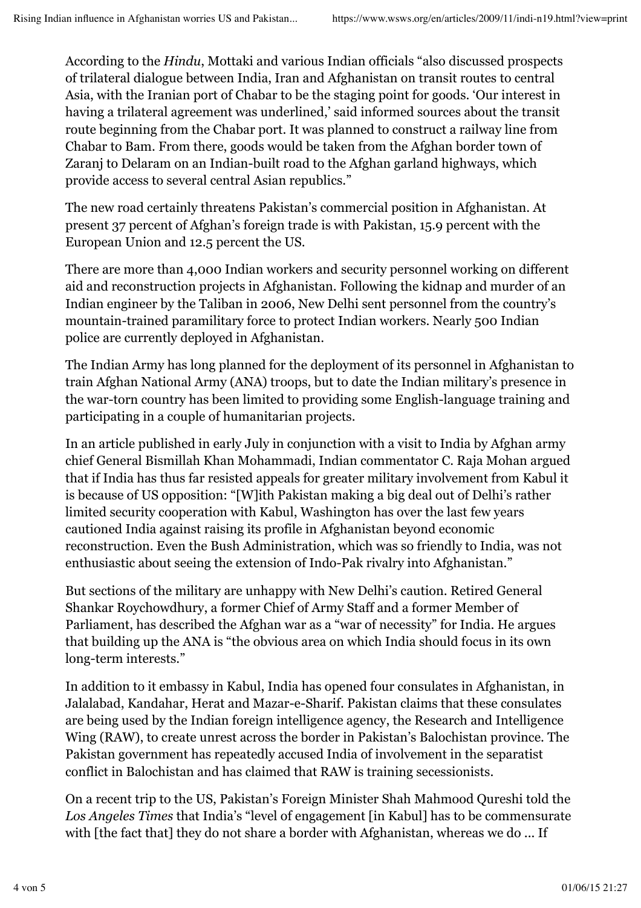According to the *Hindu*, Mottaki and various Indian officials "also discussed prospects of trilateral dialogue between India, Iran and Afghanistan on transit routes to central Asia, with the Iranian port of Chabar to be the staging point for goods. 'Our interest in having a trilateral agreement was underlined,' said informed sources about the transit route beginning from the Chabar port. It was planned to construct a railway line from Chabar to Bam. From there, goods would be taken from the Afghan border town of Zaranj to Delaram on an Indian-built road to the Afghan garland highways, which provide access to several central Asian republics."

The new road certainly threatens Pakistan's commercial position in Afghanistan. At present 37 percent of Afghan's foreign trade is with Pakistan, 15.9 percent with the European Union and 12.5 percent the US.

There are more than 4,000 Indian workers and security personnel working on different aid and reconstruction projects in Afghanistan. Following the kidnap and murder of an Indian engineer by the Taliban in 2006, New Delhi sent personnel from the country's mountain-trained paramilitary force to protect Indian workers. Nearly 500 Indian police are currently deployed in Afghanistan.

The Indian Army has long planned for the deployment of its personnel in Afghanistan to train Afghan National Army (ANA) troops, but to date the Indian military's presence in the war-torn country has been limited to providing some English-language training and participating in a couple of humanitarian projects.

In an article published in early July in conjunction with a visit to India by Afghan army chief General Bismillah Khan Mohammadi, Indian commentator C. Raja Mohan argued that if India has thus far resisted appeals for greater military involvement from Kabul it is because of US opposition: "[W]ith Pakistan making a big deal out of Delhi's rather limited security cooperation with Kabul, Washington has over the last few years cautioned India against raising its profile in Afghanistan beyond economic reconstruction. Even the Bush Administration, which was so friendly to India, was not enthusiastic about seeing the extension of Indo-Pak rivalry into Afghanistan."

But sections of the military are unhappy with New Delhi's caution. Retired General Shankar Roychowdhury, a former Chief of Army Staff and a former Member of Parliament, has described the Afghan war as a "war of necessity" for India. He argues that building up the ANA is "the obvious area on which India should focus in its own long-term interests."

In addition to it embassy in Kabul, India has opened four consulates in Afghanistan, in Jalalabad, Kandahar, Herat and Mazar-e-Sharif. Pakistan claims that these consulates are being used by the Indian foreign intelligence agency, the Research and Intelligence Wing (RAW), to create unrest across the border in Pakistan's Balochistan province. The Pakistan government has repeatedly accused India of involvement in the separatist conflict in Balochistan and has claimed that RAW is training secessionists.

On a recent trip to the US, Pakistan's Foreign Minister Shah Mahmood Qureshi told the *Los Angeles Times* that India's "level of engagement [in Kabul] has to be commensurate with [the fact that] they do not share a border with Afghanistan, whereas we do ... If